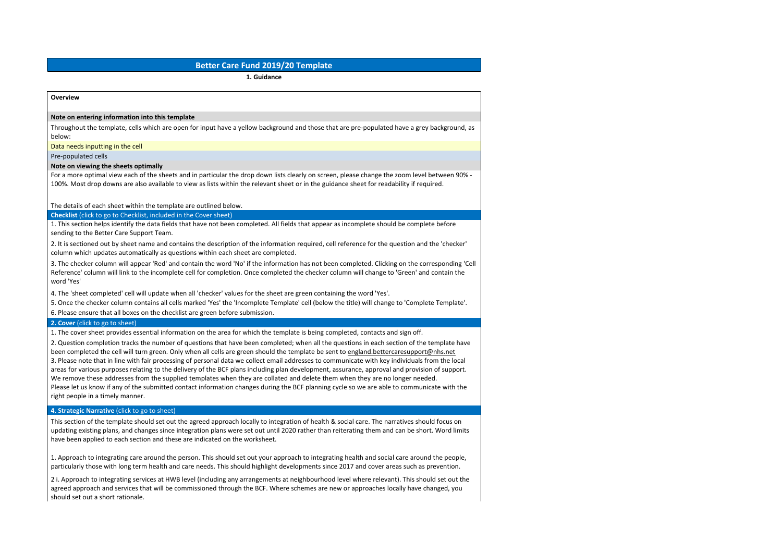# **Better Care Fund 2019/20 Template**

**1. Guidance**

#### **Overview**

#### **Note on entering information into this template**

Throughout the template, cells which are open for input have a yellow background and those that are pre-populated have a grey background, as below:

Data needs inputting in the cell

Pre-populated cells

#### **Note on viewing the sheets optimally**

For a more optimal view each of the sheets and in particular the drop down lists clearly on screen, please change the zoom level between 90% - 100%. Most drop downs are also available to view as lists within the relevant sheet or in the guidance sheet for readability if required.

The details of each sheet within the template are outlined below.

**Checklist** (click to go to [Checklist,](file:///C:/Users/dawn.mitchell/AppData/Local/Microsoft/Windows/INetCache/Content.MSO/3259D8AA.xlsx%23) included in the Cover sheet)

1. This section helps identify the data fields that have not been completed. All fields that appear as incomplete should be complete before sending to the Better Care Support Team.

2. It is sectioned out by sheet name and contains the description of the information required, cell reference for the question and the 'checker' column which updates automatically as questions within each sheet are completed.

3. The checker column will appear 'Red' and contain the word 'No' if the information has not been completed. Clicking on the corresponding 'Cell Reference' column will link to the incomplete cell for completion. Once completed the checker column will change to 'Green' and contain the word 'Yes'

4. The 'sheet completed' cell will update when all 'checker' values for the sheet are green containing the word 'Yes'.

5. Once the checker column contains all cells marked 'Yes' the 'Incomplete Template' cell (below the title) will change to 'Complete Template'.

6. Please ensure that all boxes on the checklist are green before submission.

# **2. Cover** (click to go to [sheet\)](file:///C:/Users/dawn.mitchell/AppData/Local/Microsoft/Windows/INetCache/Content.MSO/3259D8AA.xlsx%23)

1. The cover sheet provides essential information on the area for which the template is being completed, contacts and sign off.

2. Question completion tracks the number of questions that have been completed; when all the questions in each section of the template have been completed the cell will turn green. Only when all cells are green should the template be sent to england.bettercaresupport@nhs.net 3. Please note that in line with fair processing of personal data we collect email addresses to communicate with key individuals from the local areas for various purposes relating to the delivery of the BCF plans including plan development, assurance, approval and provision of support. We remove these addresses from the supplied templates when they are collated and delete them when they are no longer needed. Please let us know if any of the submitted contact information changes during the BCF planning cycle so we are able to communicate with the right people in a timely manner.

### **4. Strategic [Narrative](file:///C:/Users/dawn.mitchell/AppData/Local/Microsoft/Windows/INetCache/Content.MSO/3259D8AA.xlsx%23)** (click to go to sheet)

This section of the template should set out the agreed approach locally to integration of health & social care. The narratives should focus on updating existing plans, and changes since integration plans were set out until 2020 rather than reiterating them and can be short. Word limits have been applied to each section and these are indicated on the worksheet.

1. Approach to integrating care around the person. This should set out your approach to integrating health and social care around the people, particularly those with long term health and care needs. This should highlight developments since 2017 and cover areas such as prevention.

2 i. Approach to integrating services at HWB level (including any arrangements at neighbourhood level where relevant). This should set out the agreed approach and services that will be commissioned through the BCF. Where schemes are new or approaches locally have changed, you should set out a short rationale.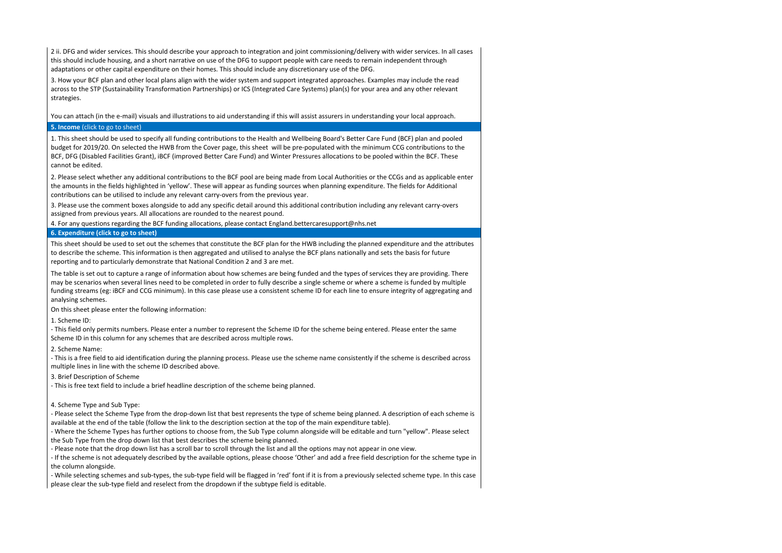2 ii. DFG and wider services. This should describe your approach to integration and joint commissioning/delivery with wider services. In all cases this should include housing, and a short narrative on use of the DFG to support people with care needs to remain independent through adaptations or other capital expenditure on their homes. This should include any discretionary use of the DFG.

3. How your BCF plan and other local plans align with the wider system and support integrated approaches. Examples may include the read across to the STP (Sustainability Transformation Partnerships) or ICS (Integrated Care Systems) plan(s) for your area and any other relevant strategies.

You can attach (in the e-mail) visuals and illustrations to aid understanding if this will assist assurers in understanding your local approach.

# **5. [Income](file:///C:/Users/dawn.mitchell/AppData/Local/Microsoft/Windows/INetCache/Content.MSO/3259D8AA.xlsx%23)** (click to go to sheet)

1. This sheet should be used to specify all funding contributions to the Health and Wellbeing Board's Better Care Fund (BCF) plan and pooled budget for 2019/20. On selected the HWB from the Cover page, this sheet will be pre-populated with the minimum CCG contributions to the BCF, DFG (Disabled Facilities Grant), iBCF (improved Better Care Fund) and Winter Pressures allocations to be pooled within the BCF. These cannot be edited.

2. Please select whether any additional contributions to the BCF pool are being made from Local Authorities or the CCGs and as applicable enter the amounts in the fields highlighted in 'yellow'. These will appear as funding sources when planning expenditure. The fields for Additional contributions can be utilised to include any relevant carry-overs from the previous year.

3. Please use the comment boxes alongside to add any specific detail around this additional contribution including any relevant carry-overs assigned from previous years. All allocations are rounded to the nearest pound.

4. For any questions regarding the BCF funding allocations, please contact England.bettercaresupport@nhs.net

# **6. [Expenditure](file:///C:/Users/dawn.mitchell/AppData/Local/Microsoft/Windows/INetCache/Content.MSO/3259D8AA.xlsx%23) (click to go to sheet)**

This sheet should be used to set out the schemes that constitute the BCF plan for the HWB including the planned expenditure and the attributes to describe the scheme. This information is then aggregated and utilised to analyse the BCF plans nationally and sets the basis for future reporting and to particularly demonstrate that National Condition 2 and 3 are met.

The table is set out to capture a range of information about how schemes are being funded and the types of services they are providing. There may be scenarios when several lines need to be completed in order to fully describe a single scheme or where a scheme is funded by multiple funding streams (eg: iBCF and CCG minimum). In this case please use a consistent scheme ID for each line to ensure integrity of aggregating and analysing schemes.

On this sheet please enter the following information:

1. Scheme ID:

- This field only permits numbers. Please enter a number to represent the Scheme ID for the scheme being entered. Please enter the same Scheme ID in this column for any schemes that are described across multiple rows.

2. Scheme Name:

- This is a free field to aid identification during the planning process. Please use the scheme name consistently if the scheme is described across multiple lines in line with the scheme ID described above.

3. Brief Description of Scheme

- This is free text field to include a brief headline description of the scheme being planned.

4. Scheme Type and Sub Type:

- Please select the Scheme Type from the drop-down list that best represents the type of scheme being planned. A description of each scheme is available at the end of the table (follow the link to the description section at the top of the main expenditure table).

- Where the Scheme Types has further options to choose from, the Sub Type column alongside will be editable and turn "yellow". Please select the Sub Type from the drop down list that best describes the scheme being planned.

- Please note that the drop down list has a scroll bar to scroll through the list and all the options may not appear in one view.

- If the scheme is not adequately described by the available options, please choose 'Other' and add a free field description for the scheme type in the column alongside.

- While selecting schemes and sub-types, the sub-type field will be flagged in 'red' font if it is from a previously selected scheme type. In this case please clear the sub-type field and reselect from the dropdown if the subtype field is editable.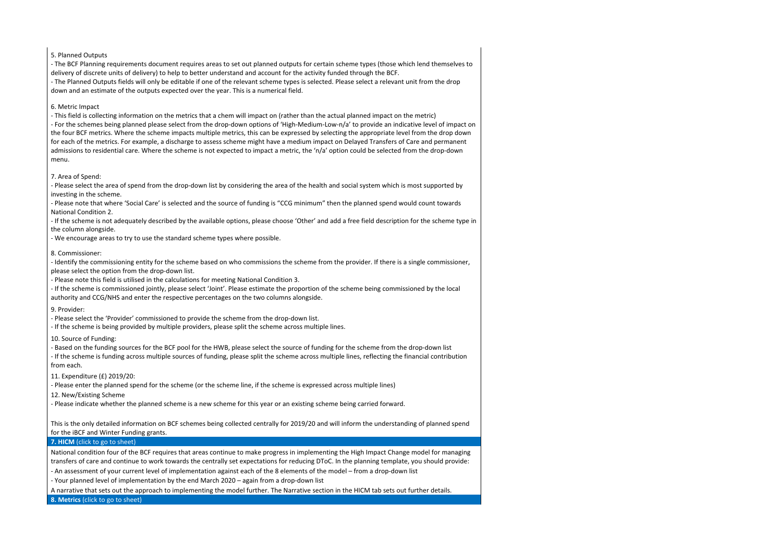### 5. Planned Outputs

- The BCF Planning requirements document requires areas to set out planned outputs for certain scheme types (those which lend themselves to delivery of discrete units of delivery) to help to better understand and account for the activity funded through the BCF.

- The Planned Outputs fields will only be editable if one of the relevant scheme types is selected. Please select a relevant unit from the drop down and an estimate of the outputs expected over the year. This is a numerical field.

### 6. Metric Impact

- This field is collecting information on the metrics that a chem will impact on (rather than the actual planned impact on the metric) - For the schemes being planned please select from the drop-down options of 'High-Medium-Low-n/a' to provide an indicative level of impact on the four BCF metrics. Where the scheme impacts multiple metrics, this can be expressed by selecting the appropriate level from the drop down for each of the metrics. For example, a discharge to assess scheme might have a medium impact on Delayed Transfers of Care and permanent admissions to residential care. Where the scheme is not expected to impact a metric, the 'n/a' option could be selected from the drop-down

menu.

### 7. Area of Spend:

- Please select the area of spend from the drop-down list by considering the area of the health and social system which is most supported by investing in the scheme.

- Please note that where 'Social Care' is selected and the source of funding is "CCG minimum" then the planned spend would count towards National Condition 2.

- If the scheme is not adequately described by the available options, please choose 'Other' and add a free field description for the scheme type in the column alongside.

- We encourage areas to try to use the standard scheme types where possible.

#### 8. Commissioner:

- Identify the commissioning entity for the scheme based on who commissions the scheme from the provider. If there is a single commissioner, please select the option from the drop-down list.

- Please note this field is utilised in the calculations for meeting National Condition 3.

- If the scheme is commissioned jointly, please select 'Joint'. Please estimate the proportion of the scheme being commissioned by the local authority and CCG/NHS and enter the respective percentages on the two columns alongside.

### 9. Provider:

- Please select the 'Provider' commissioned to provide the scheme from the drop-down list.

- If the scheme is being provided by multiple providers, please split the scheme across multiple lines.

10. Source of Funding:

- Based on the funding sources for the BCF pool for the HWB, please select the source of funding for the scheme from the drop-down list

- If the scheme is funding across multiple sources of funding, please split the scheme across multiple lines, reflecting the financial contribution from each.

11. Expenditure (£) 2019/20:

- Please enter the planned spend for the scheme (or the scheme line, if the scheme is expressed across multiple lines)

12. New/Existing Scheme

- Please indicate whether the planned scheme is a new scheme for this year or an existing scheme being carried forward.

This is the only detailed information on BCF schemes being collected centrally for 2019/20 and will inform the understanding of planned spend for the iBCF and Winter Funding grants.

# **7. HICM** (click to go to [sheet\)](file:///C:/Users/dawn.mitchell/AppData/Local/Microsoft/Windows/INetCache/Content.MSO/3259D8AA.xlsx%23)

National condition four of the BCF requires that areas continue to make progress in implementing the High Impact Change model for managing transfers of care and continue to work towards the centrally set expectations for reducing DToC. In the planning template, you should provide:

- An assessment of your current level of implementation against each of the 8 elements of the model – from a drop-down list

- Your planned level of implementation by the end March 2020 – again from a drop-down list

A narrative that sets out the approach to implementing the model further. The Narrative section in the HICM tab sets out further details.

**8. [Metrics](file:///C:/Users/dawn.mitchell/AppData/Local/Microsoft/Windows/INetCache/Content.MSO/3259D8AA.xlsx%23)** (click to go to sheet)